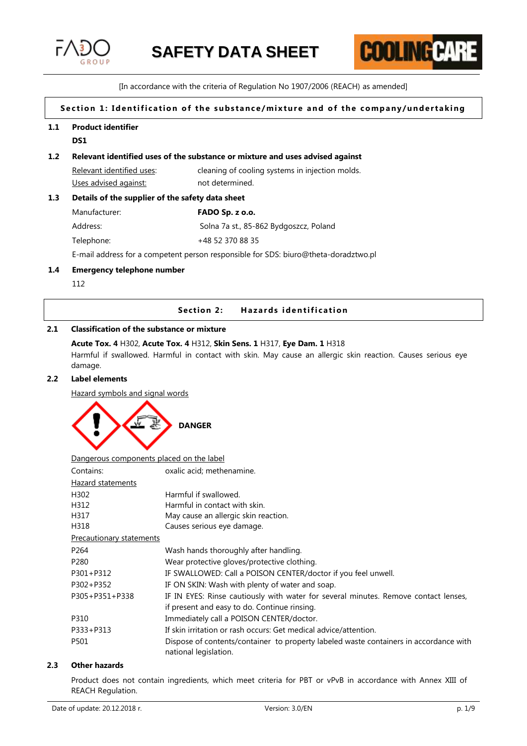



[In accordance with the criteria of Regulation No 1907/2006 (REACH) as amended]

# Section 1: Identification of the substance/mixture and of the company/undertaking

#### **1.1 Product identifier**

**DS1**

## **1.2 Relevant identified uses of the substance or mixture and uses advised against**

Relevant identified uses: cleaning of cooling systems in injection molds. Uses advised against: not determined.

# **1.3 Details of the supplier of the safety data sheet**

| Manufacturer: | FADO Sp. z o.o.                        |
|---------------|----------------------------------------|
| Address:      | Solna 7a st., 85-862 Bydgoszcz, Poland |
| Telephone:    | +48 52 370 88 35                       |

E-mail address for a competent person responsible for SDS: biuro@theta-doradztwo.pl

## **1.4 Emergency telephone number**

112

# **Section 2:** Hazards identification

# **2.1 Classification of the substance or mixture**

#### **Acute Tox. 4** H302, **Acute Tox. 4** H312, **Skin Sens. 1** H317, **Eye Dam. 1** H318

Harmful if swallowed. Harmful in contact with skin. May cause an allergic skin reaction. Causes serious eye damage.

# **2.2 Label elements**

Hazard symbols and signal words



| Dangerous components placed on the label |                                                                                                                |
|------------------------------------------|----------------------------------------------------------------------------------------------------------------|
| Contains:                                | oxalic acid; methenamine.                                                                                      |
| <b>Hazard statements</b>                 |                                                                                                                |
| H302                                     | Harmful if swallowed.                                                                                          |
| H312                                     | Harmful in contact with skin.                                                                                  |
| H317                                     | May cause an allergic skin reaction.                                                                           |
| H318                                     | Causes serious eye damage.                                                                                     |
| Precautionary statements                 |                                                                                                                |
| P <sub>264</sub>                         | Wash hands thoroughly after handling.                                                                          |
| P <sub>280</sub>                         | Wear protective gloves/protective clothing.                                                                    |
| P301+P312                                | IF SWALLOWED: Call a POISON CENTER/doctor if you feel unwell.                                                  |
| P302+P352                                | IF ON SKIN: Wash with plenty of water and soap.                                                                |
| P305+P351+P338                           | IF IN EYES: Rinse cautiously with water for several minutes. Remove contact lenses,                            |
|                                          | if present and easy to do. Continue rinsing.                                                                   |
| P310                                     | Immediately call a POISON CENTER/doctor.                                                                       |
| P333+P313                                | If skin irritation or rash occurs: Get medical advice/attention.                                               |
| P501                                     | Dispose of contents/container to property labeled waste containers in accordance with<br>national legislation. |

# **2.3 Other hazards**

Product does not contain ingredients, which meet criteria for PBT or vPvB in accordance with Annex XIII of REACH Regulation.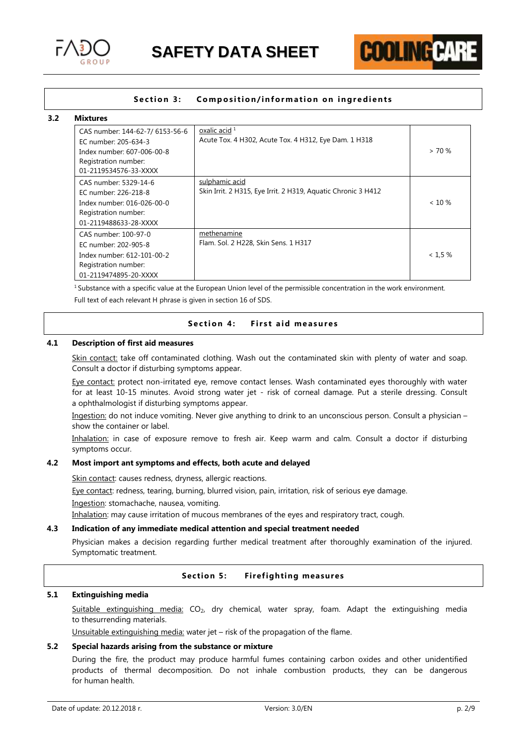



# **Section 3: Composition/information on ingredients**

#### **3.2 Mixtures**

| CAS number: 144-62-7/ 6153-56-6<br>EC number: 205-634-3<br>Index number: 607-006-00-8<br>Registration number:<br>01-2119534576-33-XXXX | oxalic acid $1$<br>Acute Tox. 4 H302, Acute Tox. 4 H312, Eye Dam. 1 H318        | > 70%     |
|----------------------------------------------------------------------------------------------------------------------------------------|---------------------------------------------------------------------------------|-----------|
| CAS number: 5329-14-6<br>EC number: 226-218-8<br>Index number: 016-026-00-0<br>Registration number:<br>01-2119488633-28-XXXX           | sulphamic acid<br>Skin Irrit. 2 H315, Eye Irrit. 2 H319, Aquatic Chronic 3 H412 | $< 10 \%$ |
| CAS number: 100-97-0<br>EC number: 202-905-8<br>Index number: 612-101-00-2<br>Registration number:<br>01-2119474895-20-XXXX            | methenamine<br>Flam. Sol. 2 H228, Skin Sens. 1 H317                             | < 1.5 %   |

 $1$  Substance with a specific value at the European Union level of the permissible concentration in the work environment. Full text of each relevant H phrase is given in section 16 of SDS.

# Section 4: First aid measures

#### **4.1 Description of first aid measures**

Skin contact: take off contaminated clothing. Wash out the contaminated skin with plenty of water and soap. Consult a doctor if disturbing symptoms appear.

Eye contact: protect non-irritated eye, remove contact lenses. Wash contaminated eyes thoroughly with water for at least 10-15 minutes. Avoid strong water jet - risk of corneal damage. Put a sterile dressing. Consult a ophthalmologist if disturbing symptoms appear.

Ingestion: do not induce vomiting. Never give anything to drink to an unconscious person. Consult a physician – show the container or label.

Inhalation: in case of exposure remove to fresh air. Keep warm and calm. Consult a doctor if disturbing symptoms occur.

# **4.2 Most import ant symptoms and effects, both acute and delayed**

Skin contact: causes redness, dryness, allergic reactions.

Eye contact: redness, tearing, burning, blurred vision, pain, irritation, risk of serious eye damage.

Ingestion: stomachache, nausea, vomiting.

Inhalation: may cause irritation of mucous membranes of the eyes and respiratory tract, cough.

## **4.3 Indication of any immediate medical attention and special treatment needed**

Physician makes a decision regarding further medical treatment after thoroughly examination of the injured. Symptomatic treatment.

# **Section 5: Firefighting measures**

# **5.1 Extinguishing media**

Suitable extinguishing media: CO<sub>2</sub>, dry chemical, water spray, foam. Adapt the extinguishing media to thesurrending materials.

Unsuitable extinguishing media: water jet – risk of the propagation of the flame.

## **5.2 Special hazards arising from the substance or mixture**

During the fire, the product may produce harmful fumes containing carbon oxides and other unidentified products of thermal decomposition. Do not inhale combustion products, they can be dangerous for human health.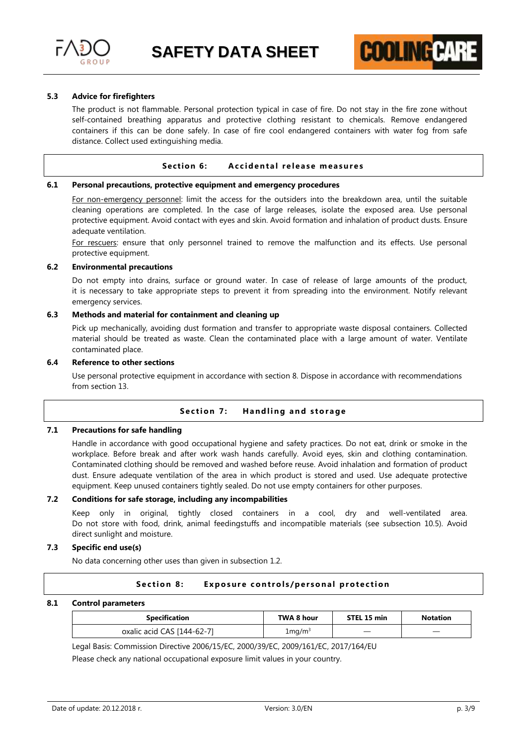



#### **5.3 Advice for firefighters**

The product is not flammable. Personal protection typical in case of fire. Do not stay in the fire zone without self-contained breathing apparatus and protective clothing resistant to chemicals. Remove endangered containers if this can be done safely. In case of fire cool endangered containers with water fog from safe distance. Collect used extinguishing media.

#### **Section 6:** Accidental release measures

#### **6.1 Personal precautions, protective equipment and emergency procedures**

For non-emergency personnel: limit the access for the outsiders into the breakdown area, until the suitable cleaning operations are completed. In the case of large releases, isolate the exposed area. Use personal protective equipment. Avoid contact with eyes and skin. Avoid formation and inhalation of product dusts. Ensure adequate ventilation.

For rescuers: ensure that only personnel trained to remove the malfunction and its effects. Use personal protective equipment.

# **6.2 Environmental precautions**

Do not empty into drains, surface or ground water. In case of release of large amounts of the product, it is necessary to take appropriate steps to prevent it from spreading into the environment. Notify relevant emergency services.

# **6.3 Methods and material for containment and cleaning up**

Pick up mechanically, avoiding dust formation and transfer to appropriate waste disposal containers. Collected material should be treated as waste. Clean the contaminated place with a large amount of water. Ventilate contaminated place.

#### **6.4 Reference to other sections**

Use personal protective equipment in accordance with section 8. Dispose in accordance with recommendations from section 13.

# **Section 7: Handling and storage**

## **7.1 Precautions for safe handling**

Handle in accordance with good occupational hygiene and safety practices. Do not eat, drink or smoke in the workplace. Before break and after work wash hands carefully. Avoid eyes, skin and clothing contamination. Contaminated clothing should be removed and washed before reuse. Avoid inhalation and formation of product dust. Ensure adequate ventilation of the area in which product is stored and used. Use adequate protective equipment. Keep unused containers tightly sealed. Do not use empty containers for other purposes.

## **7.2 Conditions for safe storage, including any incompabilities**

Keep only in original, tightly closed containers in a cool, dry and well-ventilated area. Do not store with food, drink, animal feedingstuffs and incompatible materials (see subsection 10.5). Avoid direct sunlight and moisture.

# **7.3 Specific end use(s)**

No data concerning other uses than given in subsection 1.2.

#### **Section 8:** Exposure controls/personal protection

#### **8.1 Control parameters**

| <b>Specification</b>       | TWA 8 hour        | STEL 15 min | <b>Notation</b>          |
|----------------------------|-------------------|-------------|--------------------------|
| oxalic acid CAS [144-62-7] | $1 \text{mq/m}^3$ |             | $\overline{\phantom{a}}$ |

Legal Basis: Commission Directive 2006/15/EC, 2000/39/EC, 2009/161/EC, 2017/164/EU

Please check any national occupational exposure limit values in your country.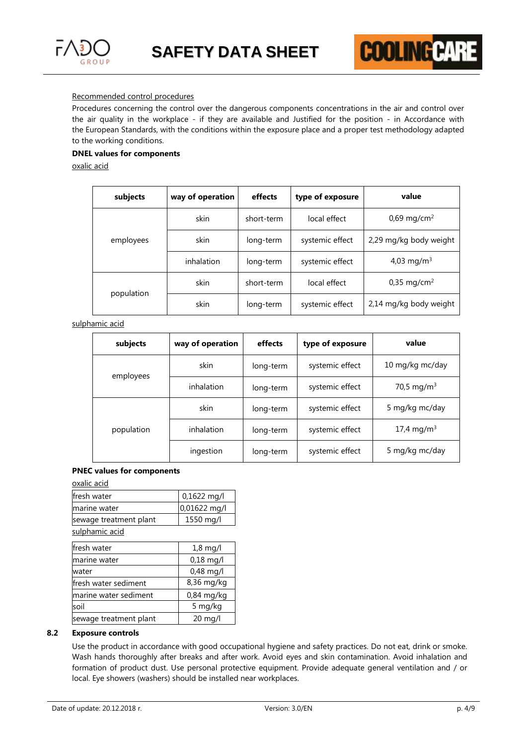

# Recommended control procedures

Procedures concerning the control over the dangerous components concentrations in the air and control over the air quality in the workplace - if they are available and Justified for the position - in Accordance with the European Standards, with the conditions within the exposure place and a proper test methodology adapted to the working conditions.

# **DNEL values for components**

oxalic acid

| subjects   | way of operation | effects    | type of exposure | value                     |
|------------|------------------|------------|------------------|---------------------------|
|            | skin             | short-term | local effect     | 0,69 mg/cm <sup>2</sup>   |
| employees  | skin             | long-term  | systemic effect  | 2,29 mg/kg body weight    |
|            | inhalation       | long-term  | systemic effect  | 4,03 mg/m <sup>3</sup>    |
| population | skin             | short-term | local effect     | $0,35 \,\mathrm{mg/cm^2}$ |
|            | skin             | long-term  | systemic effect  | 2,14 mg/kg body weight    |

sulphamic acid

| subjects   | way of operation | effects   | type of exposure | value                  |
|------------|------------------|-----------|------------------|------------------------|
| employees  | skin             | long-term | systemic effect  | 10 mg/kg mc/day        |
|            | inhalation       | long-term | systemic effect  | 70,5 mg/m <sup>3</sup> |
| population | skin             | long-term | systemic effect  | 5 mg/kg mc/day         |
|            | inhalation       | long-term | systemic effect  | 17,4 mg/m <sup>3</sup> |
|            | ingestion        | long-term | systemic effect  | 5 mg/kg mc/day         |

# **PNEC values for components**

oxalic acid

| ovanc acia             |                   |
|------------------------|-------------------|
| fresh water            | 0,1622 mg/l       |
| marine water           | 0,01622 mg/l      |
| sewage treatment plant | 1550 mg/l         |
| sulphamic acid         |                   |
| fresh water            | $1,8$ mg/l        |
| marine water           | $0,18$ mg/l       |
| water                  | $0,48$ mg/l       |
| lfresh water sediment  | 8,36 mg/kg        |
| marine water sediment  | $0,84$ mg/kg      |
| soil                   | 5 mg/kg           |
| sewage treatment plant | $20 \text{ ma/l}$ |

# **8.2 Exposure controls**

Use the product in accordance with good occupational hygiene and safety practices. Do not eat, drink or smoke. Wash hands thoroughly after breaks and after work. Avoid eyes and skin contamination. Avoid inhalation and formation of product dust. Use personal protective equipment. Provide adequate general ventilation and / or local. Eye showers (washers) should be installed near workplaces.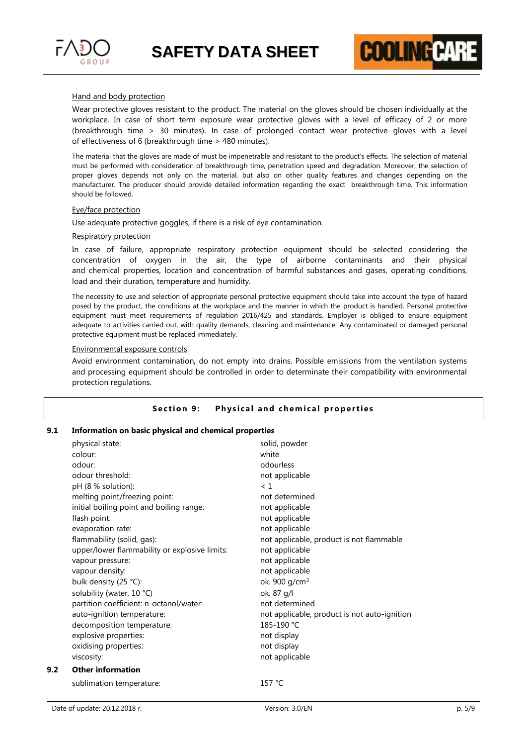

Wear protective gloves resistant to the product. The material on the gloves should be chosen individually at the workplace. In case of short term exposure wear protective gloves with a level of efficacy of 2 or more (breakthrough time > 30 minutes). In case of prolonged contact wear protective gloves with a level of effectiveness of 6 (breakthrough time > 480 minutes).

**COOLING P!** 

The material that the gloves are made of must be impenetrable and resistant to the product's effects. The selection of material must be performed with consideration of breakthrough time, penetration speed and degradation. Moreover, the selection of proper gloves depends not only on the material, but also on other quality features and changes depending on the manufacturer. The producer should provide detailed information regarding the exact breakthrough time. This information should be followed.

#### Eye/face protection

Use adequate protective goggles, if there is a risk of eye contamination.

#### Respiratory protection

In case of failure, appropriate respiratory protection equipment should be selected considering the concentration of oxygen in the air, the type of airborne contaminants and their physical and chemical properties, location and concentration of harmful substances and gases, operating conditions, load and their duration, temperature and humidity.

The necessity to use and selection of appropriate personal protective equipment should take into account the type of hazard posed by the product, the conditions at the workplace and the manner in which the product is handled. Personal protective equipment must meet requirements of regulation 2016/425 and standards. Employer is obliged to ensure equipment adequate to activities carried out, with quality demands, cleaning and maintenance. Any contaminated or damaged personal protective equipment must be replaced immediately.

#### Environmental exposure controls

Avoid environment contamination, do not empty into drains. Possible emissions from the ventilation systems and processing equipment should be controlled in order to determinate their compatibility with environmental protection regulations.

# **Section 9:** Physical and chemical properties

#### **9.1 Information on basic physical and chemical properties**

|     | physical state:                               | solid, powder                                |
|-----|-----------------------------------------------|----------------------------------------------|
|     | colour:                                       | white                                        |
|     | odour:                                        | odourless                                    |
|     | odour threshold:                              | not applicable                               |
|     | pH (8 % solution):                            | < 1                                          |
|     | melting point/freezing point:                 | not determined                               |
|     | initial boiling point and boiling range:      | not applicable                               |
|     | flash point:                                  | not applicable                               |
|     | evaporation rate:                             | not applicable                               |
|     | flammability (solid, gas):                    | not applicable, product is not flammable     |
|     | upper/lower flammability or explosive limits: | not applicable                               |
|     | vapour pressure:                              | not applicable                               |
|     | vapour density:                               | not applicable                               |
|     | bulk density (25 °C):                         | ok. 900 g/cm <sup>3</sup>                    |
|     | solubility (water, 10 °C)                     | ok. 87 g/l                                   |
|     | partition coefficient: n-octanol/water:       | not determined                               |
|     | auto-ignition temperature:                    | not applicable, product is not auto-ignition |
|     | decomposition temperature:                    | 185-190 °C                                   |
|     | explosive properties:                         | not display                                  |
|     | oxidising properties:                         | not display                                  |
|     | viscosity:                                    | not applicable                               |
| 9.2 | <b>Other information</b>                      |                                              |
|     | sublimation temperature:                      | 157 °C                                       |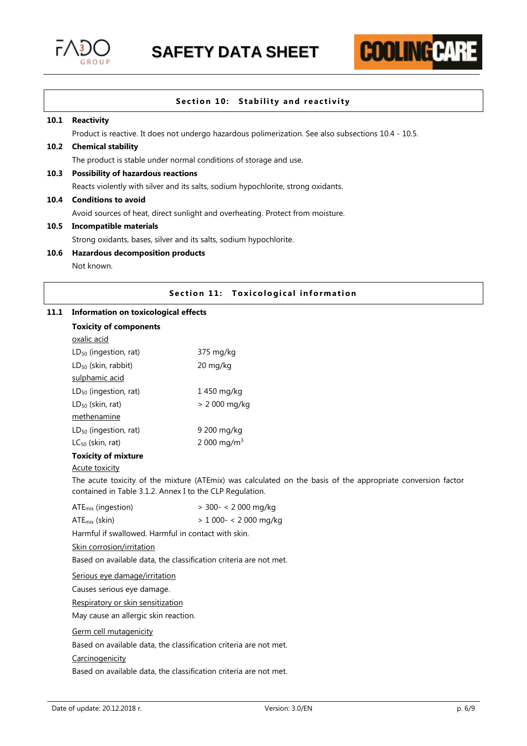



# **Section 10: Stability and reactivity**

#### **10.1 Reactivity**

Product is reactive. It does not undergo hazardous polimerization. See also subsections 10.4 - 10.5.

# **10.2 Chemical stability**

The product is stable under normal conditions of storage and use.

#### **10.3 Possibility of hazardous reactions**

Reacts violently with silver and its salts, sodium hypochlorite, strong oxidants.

#### **10.4 Conditions to avoid**

Avoid sources of heat, direct sunlight and overheating. Protect from moisture.

#### **10.5 Incompatible materials**

Strong oxidants, bases, silver and its salts, sodium hypochlorite.

# **10.6 Hazardous decomposition products**

Not known.

# **Section 11: Toxicological information**

#### **11.1 Information on toxicological effects**

| Information on toxicological effects |                         |
|--------------------------------------|-------------------------|
| <b>Toxicity of components</b>        |                         |
| oxalic acid                          |                         |
| LD <sub>50</sub> (ingestion, rat)    | 375 mg/kg               |
| $LD_{50}$ (skin, rabbit)             | 20 mg/kg                |
| sulphamic acid                       |                         |
| $LD_{50}$ (ingestion, rat)           | 1450 mg/kg              |
| $LD_{50}$ (skin, rat)                | > 2 000 mg/kg           |
| methenamine                          |                         |
| $LD_{50}$ (ingestion, rat)           | 9 200 mg/kg             |
| $LC_{50}$ (skin, rat)                | 2 000 mg/m <sup>3</sup> |
| <b>Toxicity of mixture</b>           |                         |
|                                      |                         |

#### Acute toxicity

The acute toxicity of the mixture (ATEmix) was calculated on the basis of the appropriate conversion factor contained in Table 3.1.2. Annex I to the CLP Regulation.

| ATE <sub>mix</sub> (ingestion) | > 300- < 2 000 mg/kg |
|--------------------------------|----------------------|
|                                |                      |

| $ATE_{mix}$ (skin) | > 1 000- < 2 000 mg/kg |
|--------------------|------------------------|
|                    |                        |

Harmful if swallowed. Harmful in contact with skin.

# Skin corrosion/irritation

Based on available data, the classification criteria are not met.

Serious eye damage/irritation

Causes serious eye damage.

Respiratory or skin sensitization

May cause an allergic skin reaction.

Germ cell mutagenicity

Based on available data, the classification criteria are not met.

#### Carcinogenicity

Based on available data, the classification criteria are not met.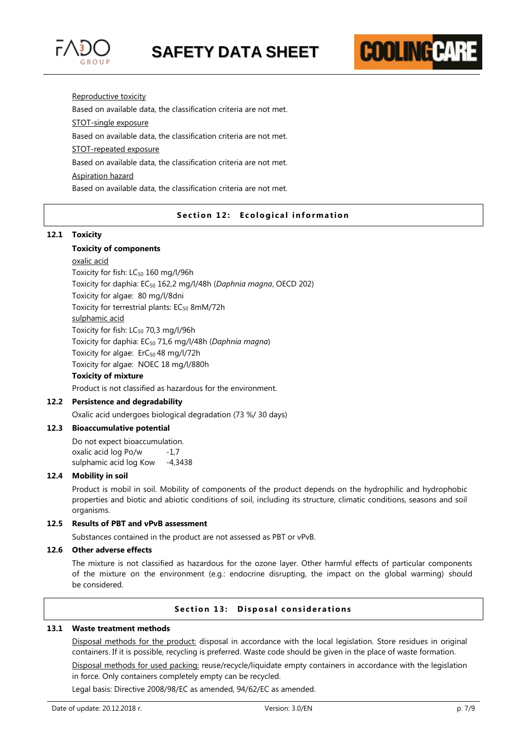



Reproductive toxicity

Based on available data, the classification criteria are not met.

STOT-single exposure

Based on available data, the classification criteria are not met.

STOT-repeated exposure

Based on available data, the classification criteria are not met.

## Aspiration hazard

Based on available data, the classification criteria are not met.

# **Section 12: Ecological information**

#### **12.1 Toxicity**

#### **Toxicity of components**

oxalic acid Toxicity for fish:  $LC_{50}$  160 mg/l/96h Toxicity for daphia: EC<sup>50</sup> 162,2 mg/l/48h (*Daphnia magna*, OECD 202) Toxicity for algae: 80 mg/l/8dni Toxicity for terrestrial plants:  $EC_{50}$  8mM/72h sulphamic acid Toxicity for fish:  $LC_{50}$  70,3 mg/l/96h Toxicity for daphia: EC<sup>50</sup> 71,6 mg/l/48h (*Daphnia magna*) Toxicity for algae: ErC<sub>50</sub> 48 mg/l/72h Toxicity for algae: NOEC 18 mg/l/880h **Toxicity of mixture**

Product is not classified as hazardous for the environment.

# **12.2 Persistence and degradability**

Oxalic acid undergoes biological degradation (73 %/ 30 days)

#### **12.3 Bioaccumulative potential**

Do not expect bioaccumulation. oxalic acid log Po/w -1,7 sulphamic acid log Kow -4,3438

#### **12.4 Mobility in soil**

Product is mobil in soil. Mobility of components of the product depends on the hydrophilic and hydrophobic properties and biotic and abiotic conditions of soil, including its structure, climatic conditions, seasons and soil organisms.

# **12.5 Results of PBT and vPvB assessment**

Substances contained in the product are not assessed as PBT or vPvB.

# **12.6 Other adverse effects**

The mixture is not classified as hazardous for the ozone layer. Other harmful effects of particular components of the mixture on the environment (e.g.: endocrine disrupting, the impact on the global warming) should be considered.

#### **Section 13: Disposal considerations**

#### **13.1 Waste treatment methods**

Disposal methods for the product: disposal in accordance with the local legislation. Store residues in original containers. If it is possible, recycling is preferred. Waste code should be given in the place of waste formation.

Disposal methods for used packing: reuse/recycle/liquidate empty containers in accordance with the legislation in force. Only containers completely empty can be recycled.

Legal basis: Directive 2008/98/EC as amended, 94/62/EC as amended.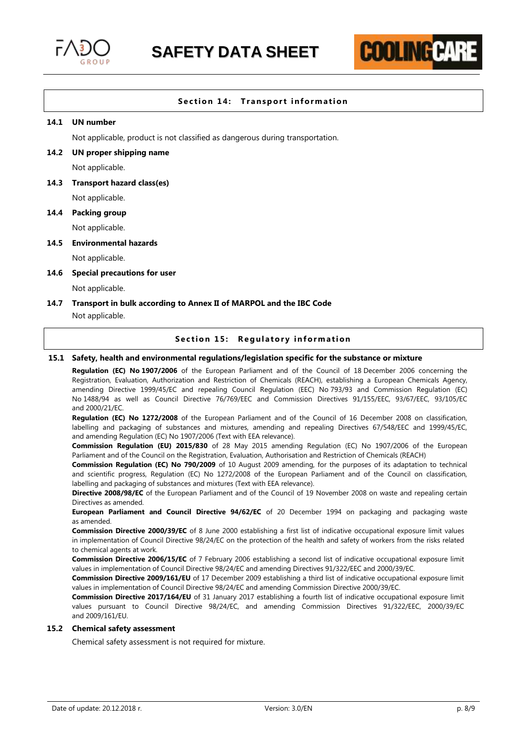

# **Section 14: Transport information**

**COOLING P.** 

# **14.1 UN number**

Not applicable, product is not classified as dangerous during transportation.

#### **14.2 UN proper shipping name**

Not applicable.

#### **14.3 Transport hazard class(es)**

Not applicable.

# **14.4 Packing group**

Not applicable.

#### **14.5 Environmental hazards**

Not applicable.

#### **14.6 Special precautions for user**

Not applicable.

# **14.7 Transport in bulk according to Annex II of MARPOL and the IBC Code**

Not applicable.

#### **Section 15: Regulatory information**

# **15.1 Safety, health and environmental regulations/legislation specific for the substance or mixture**

**Regulation (EC) No 1907/2006** of the European Parliament and of the Council of 18 December 2006 concerning the Registration, Evaluation, Authorization and Restriction of Chemicals (REACH), establishing a European Chemicals Agency, amending Directive 1999/45/EC and repealing Council Regulation (EEC) No 793/93 and Commission Regulation (EC) No 1488/94 as well as Council Directive 76/769/EEC and Commission Directives 91/155/EEC, 93/67/EEC, 93/105/EC and 2000/21/EC.

**Regulation (EC) No 1272/2008** of the European Parliament and of the Council of 16 December 2008 on classification, labelling and packaging of substances and mixtures, amending and repealing Directives 67/548/EEC and 1999/45/EC, and amending Regulation (EC) No 1907/2006 (Text with EEA relevance).

**Commission Regulation (EU) 2015/830** of 28 May 2015 amending Regulation (EC) No 1907/2006 of the European Parliament and of the Council on the Registration, Evaluation, Authorisation and Restriction of Chemicals (REACH)

**Commission Regulation (EC) No 790/2009** of 10 August 2009 amending, for the purposes of its adaptation to technical and scientific progress, Regulation (EC) No 1272/2008 of the European Parliament and of the Council on classification, labelling and packaging of substances and mixtures (Text with EEA relevance).

**Directive 2008/98/EC** of the European Parliament and of the Council of 19 November 2008 on waste and repealing certain Directives as amended.

**European Parliament and Council Directive 94/62/EC** of 20 December 1994 on packaging and packaging waste as amended.

**Commission Directive 2000/39/EC** of 8 June 2000 establishing a first list of indicative occupational exposure limit values in implementation of Council Directive 98/24/EC on the protection of the health and safety of workers from the risks related to chemical agents at work.

**Commission Directive 2006/15/EC** of 7 February 2006 establishing a second list of indicative occupational exposure limit values in implementation of Council Directive 98/24/EC and amending Directives 91/322/EEC and 2000/39/EC.

**Commission Directive 2009/161/EU** of 17 December 2009 establishing a third list of indicative occupational exposure limit values in implementation of Council Directive 98/24/EC and amending Commission Directive 2000/39/EC.

**Commission Directive 2017/164/EU** of 31 January 2017 establishing a fourth list of indicative occupational exposure limit values pursuant to Council Directive 98/24/EC, and amending Commission Directives 91/322/EEC, 2000/39/EC and 2009/161/EU.

#### **15.2 Chemical safety assessment**

Chemical safety assessment is not required for mixture.